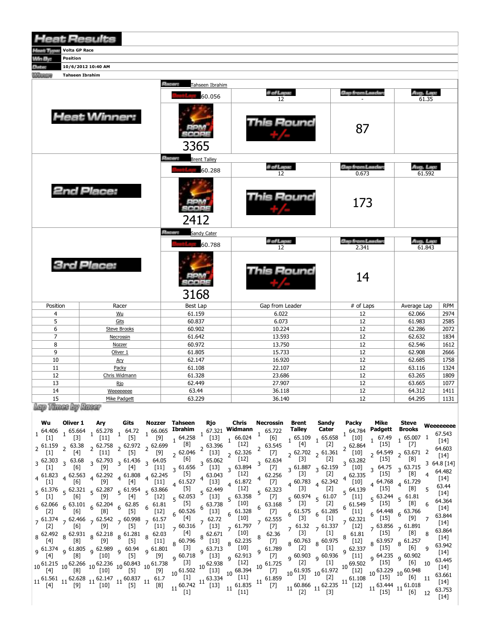| <b>Heat Results</b>                |                        |                                      |                  |                                  |                     |            |  |  |  |  |  |  |  |
|------------------------------------|------------------------|--------------------------------------|------------------|----------------------------------|---------------------|------------|--|--|--|--|--|--|--|
| <b>Volta GP Race</b><br>Hoat Type: |                        |                                      |                  |                                  |                     |            |  |  |  |  |  |  |  |
| Win By:<br>Position                |                        |                                      |                  |                                  |                     |            |  |  |  |  |  |  |  |
| <b>Antos</b>                       | 10/6/2012 10:40 AM     |                                      |                  |                                  |                     |            |  |  |  |  |  |  |  |
| <b><i><u>COLOREST</u></i></b>      | <b>Tahseen Ibrahim</b> |                                      |                  |                                  |                     |            |  |  |  |  |  |  |  |
|                                    |                        | <b>Planety</b><br>Tahseen Ibrahim    |                  |                                  |                     |            |  |  |  |  |  |  |  |
|                                    |                        | 60.056                               | # of Laps:<br>12 | Gap from Leader                  | Avg. Lep:<br>61.35  |            |  |  |  |  |  |  |  |
|                                    | <b>Heat Winner:</b>    | <b>BPM</b><br>80008<br>3365          | his Round        | 87                               |                     |            |  |  |  |  |  |  |  |
|                                    |                        | <b>Present</b> Brent Talley          |                  |                                  |                     |            |  |  |  |  |  |  |  |
|                                    |                        | 60.288                               | # of Lapse<br>12 | <b>Gap from Leaders</b><br>0.673 | Aug. Lap:<br>61.592 |            |  |  |  |  |  |  |  |
|                                    | 2nd Place:             | tonne<br>2412                        | Round            | 173                              |                     |            |  |  |  |  |  |  |  |
|                                    |                        | <b>Placers</b><br><b>Sandy Cater</b> |                  |                                  |                     |            |  |  |  |  |  |  |  |
|                                    |                        | 60.788                               | # of Laps:<br>12 | <b>Gap from Leader:</b><br>2.341 | Avg. Lap:<br>61.843 |            |  |  |  |  |  |  |  |
|                                    | <b>3rd Place:</b>      | ander<br>3168                        | This Round       | 14                               |                     |            |  |  |  |  |  |  |  |
| Position                           | Racer                  | <b>Best Lap</b>                      | Gap from Leader  | $#$ of Laps                      | Average Lap         | <b>RPM</b> |  |  |  |  |  |  |  |
| 4                                  | Wu                     | 61.159                               | 6.022            | 12                               | 62.066              | 2974       |  |  |  |  |  |  |  |
| 5                                  | Gits                   | 60.837                               | 6.073            | 12                               | 61.983              | 2585       |  |  |  |  |  |  |  |
| 6                                  | <b>Steve Brooks</b>    | 60.902                               | 10.224           | 12                               | 62.286              | 2072       |  |  |  |  |  |  |  |
| $\overline{7}$                     | Necrossin              | 61.642                               | 13.593           | 12                               | 62.632              | 1834       |  |  |  |  |  |  |  |
| 8                                  | Nozzer                 | 60.972                               | 13.750           | 12                               | 62.546              | 1612       |  |  |  |  |  |  |  |
| 9                                  | Oliver <sub>1</sub>    | 61.805                               | 15.733           | 12                               | 62.908              | 2666       |  |  |  |  |  |  |  |
| 10                                 | Ary                    | 62.147                               | 16.920           | 12                               | 62.685              | 1758       |  |  |  |  |  |  |  |
| 11                                 | Packy                  | 61.108                               | 22.107           | 12                               | 63.116              | 1324       |  |  |  |  |  |  |  |
| 12                                 | Chris Widmann          | 61.328                               | 23.686           | 12                               | 63.265              | 1809       |  |  |  |  |  |  |  |
| 13                                 | <u>Rio</u>             | 62.449                               | 27.907           | 12                               | 63.665              | 1077       |  |  |  |  |  |  |  |
| 14                                 | Weeeeeeee              | 63.44                                | 36.118           | 12                               | 64.312              | 1411       |  |  |  |  |  |  |  |
| 1 <sup>2</sup>                     | Mike Dadgett           | 62.220                               | 26, 140          | 12                               | 64.205              | 1121       |  |  |  |  |  |  |  |

 $\frac{15}{\log p}$  Thuse by Hass  $\frac{1}{2}$